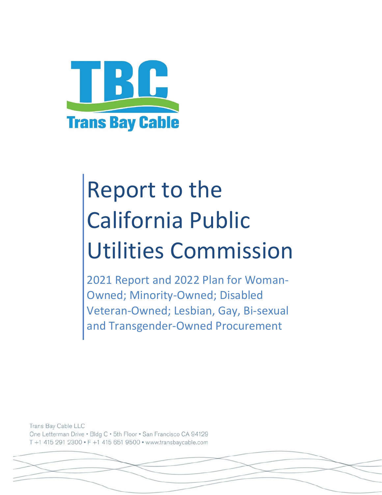

# Report to the California Public Utilities Commission

2021 Report and 2022 Plan for Woman‐ Owned; Minority‐Owned; Disabled Veteran‐Owned; Lesbian, Gay, Bi‐sexual and Transgender‐Owned Procurement

Trans Bay Cable LLC One Letterman Drive . Bldg C . 5th Floor . San Francisco CA 94129 T +1 415 291 2300 · F +1 415 651 9500 · www.transbaycable.com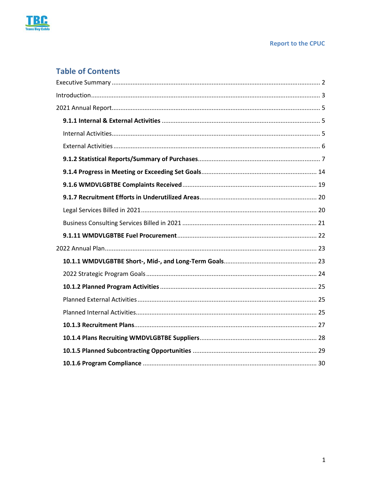

### **Table of Contents**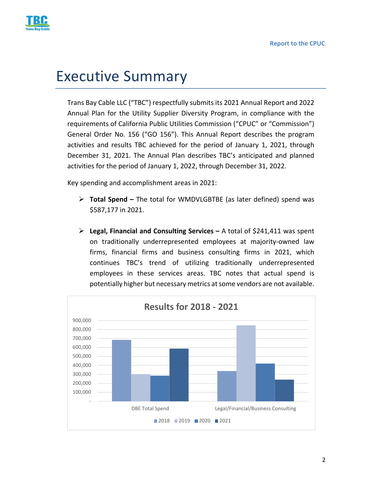

# Executive Summary

Trans Bay Cable LLC ("TBC") respectfully submits its 2021 Annual Report and 2022 Annual Plan for the Utility Supplier Diversity Program, in compliance with the requirements of California Public Utilities Commission ("CPUC" or "Commission") General Order No. 156 ("GO 156"). This Annual Report describes the program activities and results TBC achieved for the period of January 1, 2021, through December 31, 2021. The Annual Plan describes TBC's anticipated and planned activities for the period of January 1, 2022, through December 31, 2022.

Key spending and accomplishment areas in 2021:

- **Total Spend** The total for WMDVLGBTBE (as later defined) spend was \$587,177 in 2021.
- **Legal, Financial and Consulting Services** A total of \$241,411 was spent on traditionally underrepresented employees at majority‐owned law firms, financial firms and business consulting firms in 2021, which continues TBC's trend of utilizing traditionally underrepresented employees in these services areas. TBC notes that actual spend is potentially higher but necessary metrics at some vendors are not available.

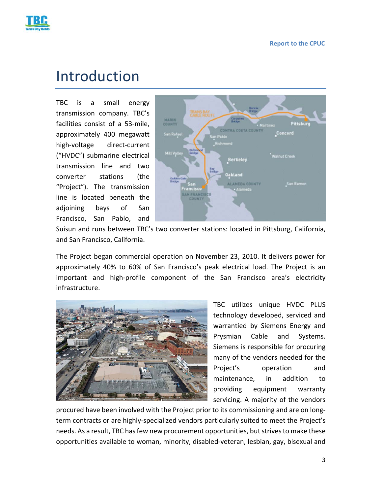

# Introduction

TBC is a small energy transmission company. TBC's facilities consist of a 53-mile, approximately 400 megawatt high‐voltage direct‐current ("HVDC") submarine electrical transmission line and two converter stations (the "Project"). The transmission line is located beneath the adjoining bays of San Francisco, San Pablo, and



Suisun and runs between TBC's two converter stations: located in Pittsburg, California, and San Francisco, California.

The Project began commercial operation on November 23, 2010. It delivers power for approximately 40% to 60% of San Francisco's peak electrical load. The Project is an important and high‐profile component of the San Francisco area's electricity infrastructure.



TBC utilizes unique HVDC PLUS technology developed, serviced and warrantied by Siemens Energy and Prysmian Cable and Systems. Siemens is responsible for procuring many of the vendors needed for the Project's operation and maintenance, in addition to providing equipment warranty servicing. A majority of the vendors

procured have been involved with the Project prior to its commissioning and are on long‐ term contracts or are highly‐specialized vendors particularly suited to meet the Project's needs. As a result, TBC has few new procurement opportunities, but strives to make these opportunities available to woman, minority, disabled‐veteran, lesbian, gay, bisexual and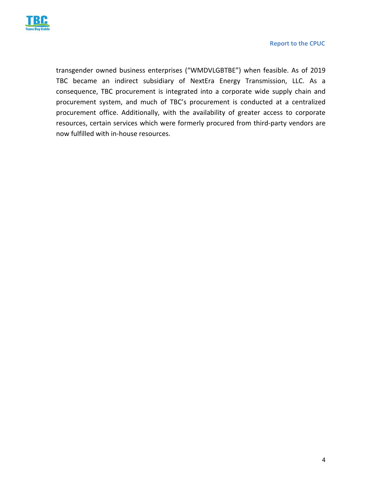

transgender owned business enterprises ("WMDVLGBTBE") when feasible. As of 2019 TBC became an indirect subsidiary of NextEra Energy Transmission, LLC. As a consequence, TBC procurement is integrated into a corporate wide supply chain and procurement system, and much of TBC's procurement is conducted at a centralized procurement office. Additionally, with the availability of greater access to corporate resources, certain services which were formerly procured from third‐party vendors are now fulfilled with in‐house resources.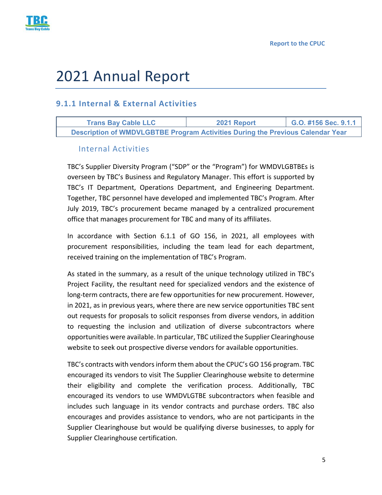

# 2021 Annual Report

### **9.1.1 Internal & External Activities**

**Trans Bay Cable LLC 2021 Report G.O. #156 Sec. 9.1.1 Description of WMDVLGBTBE Program Activities During the Previous Calendar Year** 

#### Internal Activities

TBC's Supplier Diversity Program ("SDP" or the "Program") for WMDVLGBTBEs is overseen by TBC's Business and Regulatory Manager. This effort is supported by TBC's IT Department, Operations Department, and Engineering Department. Together, TBC personnel have developed and implemented TBC's Program. After July 2019, TBC's procurement became managed by a centralized procurement office that manages procurement for TBC and many of its affiliates.

In accordance with Section 6.1.1 of GO 156, in 2021, all employees with procurement responsibilities, including the team lead for each department, received training on the implementation of TBC's Program.

As stated in the summary, as a result of the unique technology utilized in TBC's Project Facility, the resultant need for specialized vendors and the existence of long-term contracts, there are few opportunities for new procurement. However, in 2021, as in previous years, where there are new service opportunities TBC sent out requests for proposals to solicit responses from diverse vendors, in addition to requesting the inclusion and utilization of diverse subcontractors where opportunities were available. In particular, TBC utilized the Supplier Clearinghouse website to seek out prospective diverse vendors for available opportunities.

TBC's contracts with vendors inform them about the CPUC's GO 156 program. TBC encouraged its vendors to visit The Supplier Clearinghouse website to determine their eligibility and complete the verification process. Additionally, TBC encouraged its vendors to use WMDVLGTBE subcontractors when feasible and includes such language in its vendor contracts and purchase orders. TBC also encourages and provides assistance to vendors, who are not participants in the Supplier Clearinghouse but would be qualifying diverse businesses, to apply for Supplier Clearinghouse certification.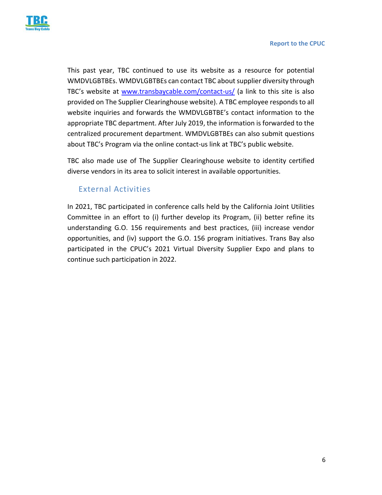

This past year, TBC continued to use its website as a resource for potential WMDVLGBTBEs. WMDVLGBTBEs can contact TBC about supplier diversity through TBC's website at www.transbaycable.com/contact‐us/ (a link to this site is also provided on The Supplier Clearinghouse website). A TBC employee responds to all website inquiries and forwards the WMDVLGBTBE's contact information to the appropriate TBC department. After July 2019, the information is forwarded to the centralized procurement department. WMDVLGBTBEs can also submit questions about TBC's Program via the online contact‐us link at TBC's public website.

TBC also made use of The Supplier Clearinghouse website to identity certified diverse vendors in its area to solicit interest in available opportunities.

#### External Activities

In 2021, TBC participated in conference calls held by the California Joint Utilities Committee in an effort to (i) further develop its Program, (ii) better refine its understanding G.O. 156 requirements and best practices, (iii) increase vendor opportunities, and (iv) support the G.O. 156 program initiatives. Trans Bay also participated in the CPUC's 2021 Virtual Diversity Supplier Expo and plans to continue such participation in 2022.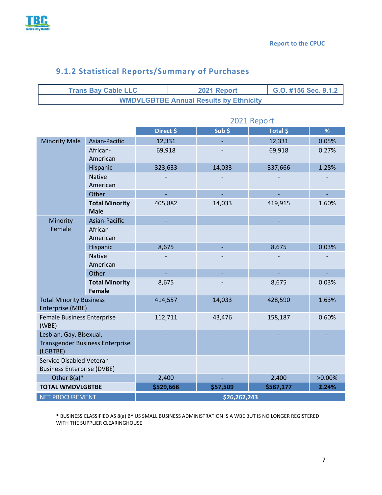

|                                                                               | <b>Trans Bay Cable LLC</b>             |              | G.O. #156 Sec. 9.1.2<br>2021 Report |                                               |          |           |        |  |  |  |
|-------------------------------------------------------------------------------|----------------------------------------|--------------|-------------------------------------|-----------------------------------------------|----------|-----------|--------|--|--|--|
|                                                                               |                                        |              |                                     | <b>WMDVLGBTBE Annual Results by Ethnicity</b> |          |           |        |  |  |  |
|                                                                               |                                        |              |                                     |                                               |          |           |        |  |  |  |
|                                                                               |                                        |              | 2021 Report                         |                                               |          |           |        |  |  |  |
|                                                                               |                                        | Direct \$    |                                     | Sub <sub>5</sub>                              | Total \$ |           | %      |  |  |  |
| <b>Minority Male</b>                                                          | Asian-Pacific                          | 12,331       |                                     |                                               |          | 12,331    | 0.05%  |  |  |  |
|                                                                               | African-<br>American                   | 69,918       |                                     |                                               |          | 69,918    | 0.27%  |  |  |  |
|                                                                               | Hispanic                               | 323,633      |                                     | 14,033                                        |          | 337,666   | 1.28%  |  |  |  |
|                                                                               | <b>Native</b><br>American              |              |                                     |                                               |          |           |        |  |  |  |
|                                                                               | Other                                  |              |                                     |                                               |          |           |        |  |  |  |
|                                                                               | <b>Total Minority</b><br><b>Male</b>   | 405,882      |                                     | 14,033                                        |          | 419,915   | 1.60%  |  |  |  |
| Minority                                                                      | Asian-Pacific                          |              |                                     |                                               |          |           |        |  |  |  |
| Female                                                                        | African-<br>American                   |              |                                     |                                               |          |           |        |  |  |  |
|                                                                               | Hispanic                               | 8,675        |                                     |                                               | 8,675    |           | 0.03%  |  |  |  |
|                                                                               | <b>Native</b><br>American              |              |                                     |                                               |          |           |        |  |  |  |
|                                                                               | Other                                  | ÷,           |                                     |                                               |          |           |        |  |  |  |
|                                                                               | <b>Total Minority</b><br><b>Female</b> | 8,675        |                                     |                                               |          | 8,675     | 0.03%  |  |  |  |
| <b>Total Minority Business</b><br>Enterprise (MBE)                            |                                        | 414,557      |                                     | 14,033                                        |          | 428,590   | 1.63%  |  |  |  |
| <b>Female Business Enterprise</b><br>(WBE)                                    |                                        | 112,711      |                                     | 43,476                                        |          | 158,187   | 0.60%  |  |  |  |
| Lesbian, Gay, Bisexual,<br><b>Transgender Business Enterprise</b><br>(LGBTBE) |                                        |              |                                     |                                               |          |           |        |  |  |  |
| Service Disabled Veteran<br><b>Business Enterprise (DVBE)</b>                 |                                        |              |                                     |                                               |          |           |        |  |  |  |
| Other $8(a)^*$                                                                |                                        | 2,400        |                                     |                                               |          | 2,400     | >0.00% |  |  |  |
| <b>TOTAL WMDVLGBTBE</b>                                                       |                                        | \$529,668    |                                     | \$57,509                                      |          | \$587,177 | 2.24%  |  |  |  |
| <b>NET PROCUREMENT</b>                                                        |                                        | \$26,262,243 |                                     |                                               |          |           |        |  |  |  |

### **9.1.2 Statistical Reports/Summary of Purchases**

\* BUSINESS CLASSIFIED AS 8(a) BY US SMALL BUSINESS ADMINISTRATION IS A WBE BUT IS NO LONGER REGISTERED WITH THE SUPPLIER CLEARINGHOUSE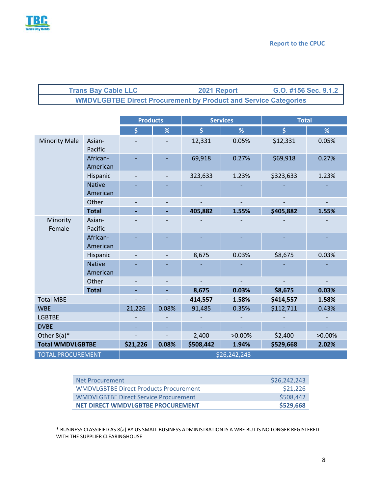

| <b>Trans Bay Cable LLC</b> | 2021 Report                                                            | G.O. #156 Sec. 9.1.2 |
|----------------------------|------------------------------------------------------------------------|----------------------|
|                            | <b>WMDVLGBTBE Direct Procurement by Product and Service Categories</b> |                      |

|                          | <b>Products</b>           |              |       | <b>Services</b>     | <b>Total</b> |                    |           |  |  |  |
|--------------------------|---------------------------|--------------|-------|---------------------|--------------|--------------------|-----------|--|--|--|
|                          |                           | \$           | %     | $\ddot{\bm{\zeta}}$ | %            | $\dot{\mathsf{S}}$ | %         |  |  |  |
| <b>Minority Male</b>     | Asian-<br>Pacific         |              |       | 12,331              | 0.05%        | \$12,331           | 0.05%     |  |  |  |
|                          | African-<br>American      |              |       | 69,918              | 0.27%        | \$69,918           | 0.27%     |  |  |  |
|                          | Hispanic                  |              |       | 323,633             | 1.23%        | \$323,633          | 1.23%     |  |  |  |
|                          | <b>Native</b><br>American |              |       |                     |              |                    |           |  |  |  |
|                          | Other                     |              |       |                     |              |                    |           |  |  |  |
|                          | <b>Total</b>              |              | ÷     | 405,882             | 1.55%        | \$405,882          | 1.55%     |  |  |  |
| Minority<br>Female       | Asian-<br>Pacific         |              |       |                     |              |                    |           |  |  |  |
|                          | African-<br>American      |              |       |                     |              |                    |           |  |  |  |
|                          | Hispanic                  |              |       | 8,675               | 0.03%        | \$8,675            | 0.03%     |  |  |  |
|                          | <b>Native</b><br>American |              |       |                     |              |                    |           |  |  |  |
|                          | Other                     |              |       |                     |              |                    |           |  |  |  |
|                          | <b>Total</b>              |              |       | 8,675               | 0.03%        | \$8,675            | 0.03%     |  |  |  |
| <b>Total MBE</b>         |                           |              |       | 414,557             | 1.58%        | \$414,557          | 1.58%     |  |  |  |
| <b>WBE</b>               |                           | 21,226       | 0.08% | 91,485              | 0.35%        | \$112,711          | 0.43%     |  |  |  |
| <b>LGBTBE</b>            |                           |              |       |                     |              |                    |           |  |  |  |
| <b>DVBE</b>              |                           |              |       |                     |              |                    |           |  |  |  |
| Other $8(a)^*$           |                           |              |       | 2,400               | $>0.00\%$    | \$2,400            | $>0.00\%$ |  |  |  |
| <b>Total WMDVLGBTBE</b>  |                           | \$21,226     | 0.08% | \$508,442           | 1.94%        | \$529,668          | 2.02%     |  |  |  |
| <b>TOTAL PROCUREMENT</b> |                           | \$26,242,243 |       |                     |              |                    |           |  |  |  |

| Net Procurement                               | \$26,242,243 |
|-----------------------------------------------|--------------|
| <b>WMDVLGBTBE Direct Products Procurement</b> | \$21,226     |
| WMDVLGBTBE Direct Service Procurement         | \$508,442    |
| NET DIRECT WMDVLGBTBE PROCUREMENT             | \$529,668    |

\* BUSINESS CLASSIFIED AS 8(a) BY US SMALL BUSINESS ADMINISTRATION IS A WBE BUT IS NO LONGER REGISTERED WITH THE SUPPLIER CLEARINGHOUSE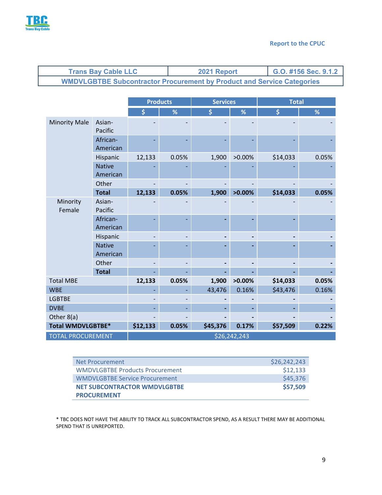

| <b>Trans Bay Cable LLC</b>                                                    | 2021 Report | G.O. #156 Sec. 9.1.2 |
|-------------------------------------------------------------------------------|-------------|----------------------|
| <b>WMDVLGBTBE Subcontractor Procurement by Product and Service Categories</b> |             |                      |

|                          |                           |          | <b>Products</b> | <b>Services</b> |              | <b>Total</b> |       |
|--------------------------|---------------------------|----------|-----------------|-----------------|--------------|--------------|-------|
|                          |                           | \$       | %               | \$              | $\%$         | \$           | %     |
| <b>Minority Male</b>     | Asian-<br>Pacific         |          |                 |                 |              |              |       |
|                          | African-<br>American      |          |                 |                 |              |              |       |
|                          | Hispanic                  | 12,133   | 0.05%           | 1,900           | $>0.00\%$    | \$14,033     | 0.05% |
|                          | <b>Native</b><br>American |          |                 |                 |              |              |       |
|                          | Other                     |          |                 |                 |              |              |       |
|                          | <b>Total</b>              | 12,133   | 0.05%           | 1,900           | $>0.00\%$    | \$14,033     | 0.05% |
| Minority<br>Female       | Asian-<br>Pacific         |          |                 |                 |              |              |       |
|                          | African-<br>American      |          |                 |                 |              |              |       |
|                          | Hispanic                  |          |                 |                 |              |              |       |
|                          | <b>Native</b><br>American |          |                 |                 |              |              |       |
|                          | Other                     |          |                 |                 |              |              |       |
|                          | <b>Total</b>              |          |                 |                 |              |              |       |
| <b>Total MBE</b>         |                           | 12,133   | 0.05%           | 1,900           | $>0.00\%$    | \$14,033     | 0.05% |
| <b>WBE</b>               |                           |          |                 | 43,476          | 0.16%        | \$43,476     | 0.16% |
| <b>LGBTBE</b>            |                           |          |                 |                 |              |              |       |
| <b>DVBE</b>              |                           |          |                 |                 |              |              |       |
| Other 8(a)               |                           |          |                 |                 |              |              |       |
| <b>Total WMDVLGBTBE*</b> |                           | \$12,133 | 0.05%           | \$45,376        | 0.17%        | \$57,509     | 0.22% |
| <b>TOTAL PROCUREMENT</b> |                           |          |                 |                 | \$26,242,243 |              |       |

| Net Procurement                        | \$26,242,243 |
|----------------------------------------|--------------|
| <b>WMDVLGBTBE Products Procurement</b> | \$12,133     |
| <b>WMDVLGBTBE Service Procurement</b>  | \$45,376     |
| <b>NET SUBCONTRACTOR WMDVLGBTBE</b>    | \$57,509     |
| <b>PROCUREMENT</b>                     |              |

\* TBC DOES NOT HAVE THE ABILITY TO TRACK ALL SUBCONTRACTOR SPEND, AS A RESULT THERE MAY BE ADDITIONAL SPEND THAT IS UNREPORTED.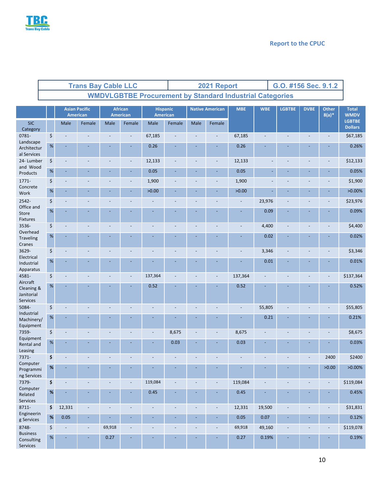

|                                                  | <b>Trans Bay Cable LLC</b> |      |                                  |                          |        | 2021 Report<br>G.O. #156 Sec. 9.1.2 |                             |                          |                          |                        |                                                                 |                |                |                          |                          |                                 |  |  |  |
|--------------------------------------------------|----------------------------|------|----------------------------------|--------------------------|--------|-------------------------------------|-----------------------------|--------------------------|--------------------------|------------------------|-----------------------------------------------------------------|----------------|----------------|--------------------------|--------------------------|---------------------------------|--|--|--|
|                                                  |                            |      |                                  |                          |        |                                     |                             |                          |                          |                        | <b>WMDVLGBTBE Procurement by Standard Industrial Categories</b> |                |                |                          |                          |                                 |  |  |  |
|                                                  |                            |      | <b>Asian Pacific</b><br>American |                          |        | <b>African</b><br><b>American</b>   | <b>Hispanic</b><br>American |                          |                          | <b>Native American</b> | <b>MBE</b>                                                      | <b>WBE</b>     | <b>LGBTBE</b>  | <b>DVBE</b>              | <b>Other</b><br>$8(a)*$  | <b>Total</b><br><b>WMDV</b>     |  |  |  |
| <b>SIC</b><br>Category                           |                            |      | Male                             | Female                   | Male   | Female                              | Male                        | Female                   | Male                     | Female                 |                                                                 |                |                |                          |                          | <b>LGBTBE</b><br><b>Dollars</b> |  |  |  |
| 0781-                                            |                            | \$   |                                  |                          |        | $\overline{\phantom{a}}$            | 67,185                      |                          |                          |                        | 67,185                                                          |                |                |                          |                          | \$67,185                        |  |  |  |
| Landscape<br>Architectur<br>al Services          |                            | $\%$ | $\overline{\phantom{a}}$         |                          |        |                                     | 0.26                        |                          |                          |                        | 0.26                                                            |                |                |                          |                          | 0.26%                           |  |  |  |
| 24-Lumber                                        |                            | \$   | $\blacksquare$                   |                          |        | $\blacksquare$                      | 12,133                      |                          | $\overline{a}$           |                        | 12,133                                                          |                |                |                          |                          | \$12,133                        |  |  |  |
| and Wood<br>Products                             |                            | $\%$ | $\blacksquare$                   |                          |        | $\blacksquare$                      | 0.05                        | ÷,                       | ÷,                       |                        | 0.05                                                            | ÷,             | ÷,             |                          |                          | 0.05%                           |  |  |  |
| 1771-<br>Concrete                                |                            | \$   |                                  |                          |        | $\overline{\phantom{a}}$            | 1,900                       |                          |                          |                        | 1,900                                                           |                |                |                          |                          | \$1,900                         |  |  |  |
| Work                                             |                            | $\%$ | $\omega$                         |                          |        | ÷,                                  | >0.00                       |                          |                          |                        | >0.00                                                           |                |                |                          |                          | $>0.00\%$                       |  |  |  |
| 2542-                                            |                            | \$   |                                  |                          |        |                                     |                             |                          |                          |                        |                                                                 | 23,976         |                |                          |                          | \$23,976                        |  |  |  |
| Office and<br>Store<br>Fixtures                  |                            | $\%$ |                                  |                          |        |                                     |                             |                          | ÷                        |                        | $\overline{\phantom{a}}$                                        | 0.09           |                |                          |                          | 0.09%                           |  |  |  |
| 3536-                                            |                            | \$   |                                  |                          |        |                                     |                             |                          |                          |                        |                                                                 | 4,400          |                |                          |                          | \$4,400                         |  |  |  |
| Overhead<br>Traveling<br>Cranes                  |                            | $\%$ |                                  |                          |        |                                     |                             |                          |                          |                        |                                                                 | 0.02           |                |                          |                          | 0.02%                           |  |  |  |
| 3629-                                            |                            | \$   | $\overline{a}$                   |                          |        |                                     |                             |                          | L,                       |                        |                                                                 | 3,346          |                |                          |                          | \$3,346                         |  |  |  |
| Electrical<br>Industrial<br>Apparatus            |                            | %    | ÷,                               |                          |        | ÷,                                  |                             |                          |                          |                        |                                                                 | 0.01           | ÷              |                          |                          | 0.01%                           |  |  |  |
| 4581-                                            |                            | \$   |                                  |                          |        | $\blacksquare$                      | 137,364                     |                          | $\overline{a}$           |                        | 137,364                                                         |                |                |                          |                          | \$137,364                       |  |  |  |
| Aircraft<br>Cleaning &<br>Janitorial<br>Services |                            | $\%$ |                                  |                          |        |                                     | 0.52                        |                          |                          |                        | 0.52                                                            |                |                |                          |                          | 0.52%                           |  |  |  |
| 5084-                                            |                            | \$   |                                  | L.                       |        | $\overline{a}$                      | $\overline{a}$              |                          | $\overline{a}$           |                        | $\overline{\phantom{a}}$                                        | 55,805         |                |                          |                          | \$55,805                        |  |  |  |
| Industrial<br>Machinery/<br>Equipment            |                            | $\%$ |                                  |                          |        |                                     |                             |                          |                          |                        |                                                                 | 0.21           |                |                          |                          | 0.21%                           |  |  |  |
| 7359-                                            |                            | \$   |                                  |                          |        |                                     |                             | 8,675                    | $\overline{a}$           |                        | 8,675                                                           |                |                |                          |                          | \$8,675                         |  |  |  |
| Equipment<br>Rental and<br>Leasing               |                            | $\%$ | ٠                                |                          |        |                                     |                             | 0.03                     | ÷                        |                        | 0.03                                                            |                |                |                          |                          | 0.03%                           |  |  |  |
| 7371-                                            |                            | \$   |                                  |                          |        |                                     |                             |                          |                          |                        |                                                                 |                |                |                          | 2400                     | \$2400                          |  |  |  |
| Computer<br>Programmi<br>ng Services             |                            | $\%$ | $\sim$                           |                          |        |                                     |                             |                          |                          |                        |                                                                 |                |                |                          | >0.00                    | $>0.00\%$                       |  |  |  |
| 7379-                                            |                            | \$   | $\overline{\phantom{a}}$         | L,                       |        | $\overline{a}$                      | 119,084                     | $\overline{a}$           | $\overline{a}$           |                        | 119,084                                                         | $\overline{a}$ | L,             |                          | $\blacksquare$           | \$119,084                       |  |  |  |
| Computer<br>Related<br>Services                  |                            | $\%$ | ä,                               |                          |        | ÷,                                  | 0.45                        |                          | L,                       |                        | 0.45                                                            | ÷,             | ٠              |                          |                          | 0.45%                           |  |  |  |
| 8711-                                            |                            | \$   | 12,331                           | $\overline{\phantom{a}}$ |        | $\overline{\phantom{a}}$            | $\overline{a}$              | $\overline{a}$           | $\overline{\phantom{a}}$ |                        | 12,331                                                          | 19,500         | $\overline{a}$ | $\overline{\phantom{a}}$ | $\overline{\phantom{a}}$ | \$31,831                        |  |  |  |
| Engineerin<br>g Services                         |                            | $\%$ | 0.05                             | Ξ                        |        | $\overline{\phantom{a}}$            |                             | ۳                        | ÷                        |                        | 0.05                                                            | 0.07           | Ξ              |                          |                          | 0.12%                           |  |  |  |
| 8748-<br><b>Business</b>                         |                            | \$   | $\Box$                           | $\blacksquare$           | 69,918 | $\overline{\phantom{a}}$            | $\overline{a}$              | $\overline{\phantom{a}}$ | $\overline{a}$           |                        | 69,918                                                          | 49,160         | $\overline{a}$ |                          | $\overline{\phantom{a}}$ | \$119,078                       |  |  |  |
| Consulting<br>Services                           |                            | $\%$ | ÷,                               |                          | 0.27   | ÷,                                  |                             |                          | L,                       |                        | 0.27                                                            | 0.19%          | ÷,             |                          |                          | 0.19%                           |  |  |  |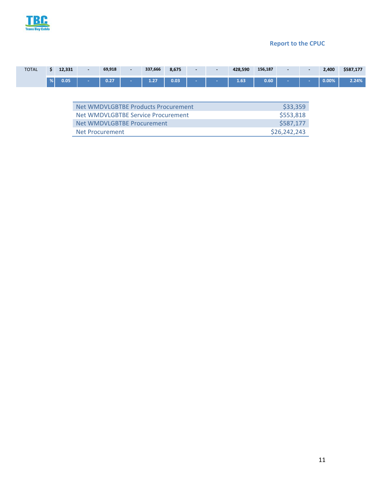

| <b>TOTAL</b> |               | 12.221<br>14,331 | 69,918 | 337,666 | 8,675 | $\sim$ | 428,590 | 156,187      | $\sim$ | 2,400 | \$587,177 |
|--------------|---------------|------------------|--------|---------|-------|--------|---------|--------------|--------|-------|-----------|
|              | $\frac{9}{6}$ | 0.05             | 0.27   | 4.27    | 0.03  |        | 1.63    | n cn<br>J.OU |        | 0.00% | 2.24%     |

| Net WMDVLGBTBE Products Procurement | \$33,359     |
|-------------------------------------|--------------|
| Net WMDVLGBTBE Service Procurement  | \$553,818    |
| Net WMDVLGBTBE Procurement          | \$587.177    |
| Net Procurement                     | \$26,242,243 |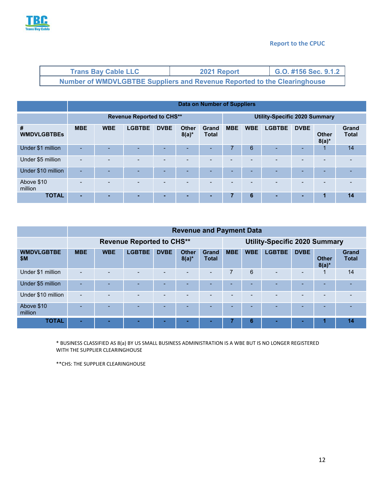

| <b>Trans Bay Cable LLC</b>                                               | 2021 Report | G.O. #156 Sec. 9.1.2 |
|--------------------------------------------------------------------------|-------------|----------------------|
| Number of WMDVLGBTBE Suppliers and Revenue Reported to the Clearinghouse |             |                      |

|                         | Data on Number of Suppliers      |            |               |             |                          |                              |            |                                      |               |             |                          |                              |
|-------------------------|----------------------------------|------------|---------------|-------------|--------------------------|------------------------------|------------|--------------------------------------|---------------|-------------|--------------------------|------------------------------|
|                         | <b>Revenue Reported to CHS**</b> |            |               |             |                          |                              |            | <b>Utility-Specific 2020 Summary</b> |               |             |                          |                              |
| #<br><b>WMDVLGBTBEs</b> | <b>MBE</b>                       | <b>WBE</b> | <b>LGBTBE</b> | <b>DVBE</b> | <b>Other</b><br>$8(a)^*$ | <b>Grand</b><br><b>Total</b> | <b>MBE</b> | <b>WBE</b>                           | <b>LGBTBE</b> | <b>DVBE</b> | <b>Other</b><br>$8(a)^*$ | <b>Grand</b><br><b>Total</b> |
| Under \$1 million       |                                  |            |               |             | ۰.                       |                              | 7          | 6                                    |               | ۰.          | $\mathbf 1$              | 14                           |
| Under \$5 million       | $\overline{\phantom{a}}$         |            |               |             | $\overline{\phantom{a}}$ |                              |            | $\overline{\phantom{a}}$             |               | -           |                          |                              |
| Under \$10 million      | ÷                                |            |               |             |                          |                              | -          | -                                    |               | -           | -                        |                              |
| Above \$10<br>million   |                                  |            |               |             |                          |                              |            |                                      |               |             |                          |                              |
| <b>TOTAL</b>            |                                  |            |               | -           |                          | -                            | 7          | 6                                    |               |             | 1                        | 14                           |

|                          | <b>Revenue and Payment Data</b>  |            |               |                          |                          |                          |                                      |                          |               |                          |                          |                              |
|--------------------------|----------------------------------|------------|---------------|--------------------------|--------------------------|--------------------------|--------------------------------------|--------------------------|---------------|--------------------------|--------------------------|------------------------------|
|                          | <b>Revenue Reported to CHS**</b> |            |               |                          |                          |                          | <b>Utility-Specific 2020 Summary</b> |                          |               |                          |                          |                              |
| <b>WMDVLGBTBE</b><br>\$M | <b>MBE</b>                       | <b>WBE</b> | <b>LGBTBE</b> | <b>DVBE</b>              | <b>Other</b><br>$8(a)^*$ | Grand<br><b>Total</b>    | <b>MBE</b>                           | <b>WBE</b>               | <b>LGBTBE</b> | <b>DVBE</b>              | <b>Other</b><br>$8(a)^*$ | <b>Grand</b><br><b>Total</b> |
| Under \$1 million        | $\overline{\phantom{0}}$         | ۰          |               | $\overline{\phantom{0}}$ | <b>1</b>                 | $\overline{\phantom{0}}$ | 7                                    | 6                        |               | $\overline{\phantom{a}}$ | 1                        | 14                           |
| Under \$5 million        |                                  |            |               |                          |                          |                          |                                      | -                        |               | ۰                        | -                        |                              |
| Under \$10 million       |                                  |            |               | -                        |                          |                          |                                      | $\overline{\phantom{0}}$ |               | -                        |                          |                              |
| Above \$10<br>million    |                                  |            | -             |                          |                          |                          | -                                    | -                        |               | -                        |                          |                              |
| <b>TOTAL</b>             |                                  |            |               |                          |                          | -                        |                                      | 6                        |               | -                        |                          | 14                           |

\* BUSINESS CLASSIFIED AS 8(a) BY US SMALL BUSINESS ADMINISTRATION IS A WBE BUT IS NO LONGER REGISTERED WITH THE SUPPLIER CLEARINGHOUSE

\*\*CHS: THE SUPPLIER CLEARINGHOUSE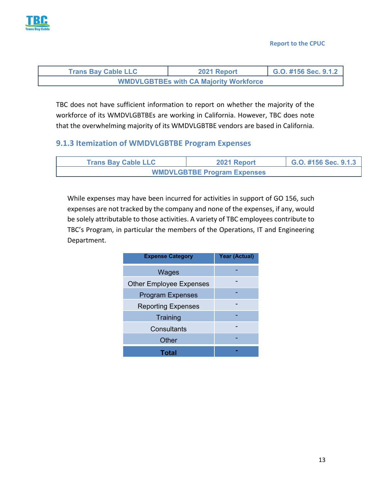

| <b>Trans Bay Cable LLC</b>                    | 2021 Report | G.O. #156 Sec. 9.1.2 |  |  |  |  |  |
|-----------------------------------------------|-------------|----------------------|--|--|--|--|--|
| <b>WMDVLGBTBEs with CA Majority Workforce</b> |             |                      |  |  |  |  |  |

TBC does not have sufficient information to report on whether the majority of the workforce of its WMDVLGBTBEs are working in California. However, TBC does note that the overwhelming majority of its WMDVLGBTBE vendors are based in California.

#### **9.1.3 Itemization of WMDVLGBTBE Program Expenses**

| <b>Trans Bay Cable LLC</b>         | 2021 Report | G.O. #156 Sec. 9.1.3 |  |  |  |  |  |
|------------------------------------|-------------|----------------------|--|--|--|--|--|
| <b>WMDVLGBTBE Program Expenses</b> |             |                      |  |  |  |  |  |

While expenses may have been incurred for activities in support of GO 156, such expenses are not tracked by the company and none of the expenses, if any, would be solely attributable to those activities. A variety of TBC employees contribute to TBC's Program, in particular the members of the Operations, IT and Engineering Department.

| <b>Expense Category</b>        | Year (Actual) |
|--------------------------------|---------------|
| Wages                          |               |
| <b>Other Employee Expenses</b> |               |
| <b>Program Expenses</b>        |               |
| <b>Reporting Expenses</b>      |               |
| Training                       |               |
| Consultants                    |               |
| Other                          |               |
| Total                          |               |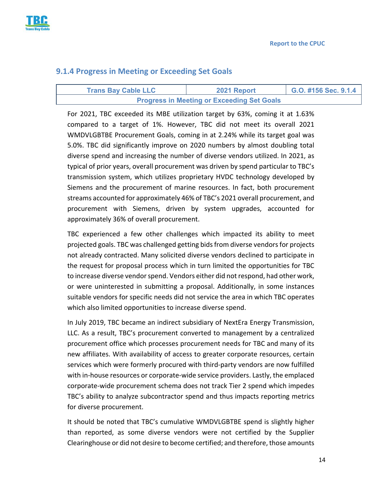

#### **9.1.4 Progress in Meeting or Exceeding Set Goals**

| <b>Trans Bay Cable LLC</b>                        | 2021 Report | G.O. #156 Sec. 9.1.4 |  |  |  |  |
|---------------------------------------------------|-------------|----------------------|--|--|--|--|
| <b>Progress in Meeting or Exceeding Set Goals</b> |             |                      |  |  |  |  |

For 2021, TBC exceeded its MBE utilization target by 63%, coming it at 1.63% compared to a target of 1%. However, TBC did not meet its overall 2021 WMDVLGBTBE Procurement Goals, coming in at 2.24% while its target goal was 5.0%. TBC did significantly improve on 2020 numbers by almost doubling total diverse spend and increasing the number of diverse vendors utilized. In 2021, as typical of prior years, overall procurement was driven by spend particular to TBC's transmission system, which utilizes proprietary HVDC technology developed by Siemens and the procurement of marine resources. In fact, both procurement streams accounted for approximately 46% of TBC's 2021 overall procurement, and procurement with Siemens, driven by system upgrades, accounted for approximately 36% of overall procurement.

TBC experienced a few other challenges which impacted its ability to meet projected goals. TBC was challenged getting bids from diverse vendors for projects not already contracted. Many solicited diverse vendors declined to participate in the request for proposal process which in turn limited the opportunities for TBC to increase diverse vendor spend. Vendors either did not respond, had other work, or were uninterested in submitting a proposal. Additionally, in some instances suitable vendors for specific needs did not service the area in which TBC operates which also limited opportunities to increase diverse spend.

In July 2019, TBC became an indirect subsidiary of NextEra Energy Transmission, LLC. As a result, TBC's procurement converted to management by a centralized procurement office which processes procurement needs for TBC and many of its new affiliates. With availability of access to greater corporate resources, certain services which were formerly procured with third‐party vendors are now fulfilled with in-house resources or corporate-wide service providers. Lastly, the emplaced corporate‐wide procurement schema does not track Tier 2 spend which impedes TBC's ability to analyze subcontractor spend and thus impacts reporting metrics for diverse procurement.

It should be noted that TBC's cumulative WMDVLGBTBE spend is slightly higher than reported, as some diverse vendors were not certified by the Supplier Clearinghouse or did not desire to become certified; and therefore, those amounts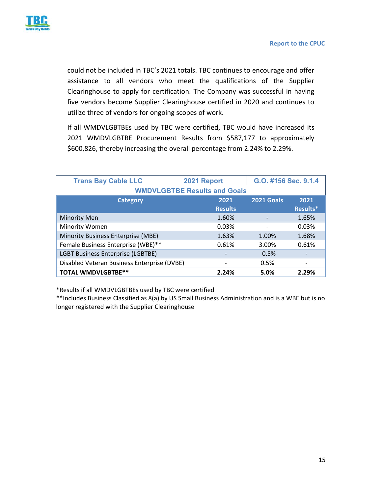

could not be included in TBC's 2021 totals. TBC continues to encourage and offer assistance to all vendors who meet the qualifications of the Supplier Clearinghouse to apply for certification. The Company was successful in having five vendors become Supplier Clearinghouse certified in 2020 and continues to utilize three of vendors for ongoing scopes of work.

If all WMDVLGBTBEs used by TBC were certified, TBC would have increased its 2021 WMDVLGBTBE Procurement Results from \$587,177 to approximately \$600,826, thereby increasing the overall percentage from 2.24% to 2.29%.

| <b>Trans Bay Cable LLC</b>                  | 2021 Report    | G.O. #156 Sec. 9.1.4 |          |  |  |  |  |  |
|---------------------------------------------|----------------|----------------------|----------|--|--|--|--|--|
| <b>WMDVLGBTBE Results and Goals</b>         |                |                      |          |  |  |  |  |  |
| <b>Category</b>                             | 2021           | <b>2021 Goals</b>    | 2021     |  |  |  |  |  |
|                                             | <b>Results</b> |                      | Results* |  |  |  |  |  |
| <b>Minority Men</b>                         | 1.60%          |                      | 1.65%    |  |  |  |  |  |
| Minority Women                              | 0.03%          |                      | 0.03%    |  |  |  |  |  |
| Minority Business Enterprise (MBE)          | 1.63%          | 1.00%                | 1.68%    |  |  |  |  |  |
| Female Business Enterprise (WBE)**          | 0.61%          | 3.00%                | 0.61%    |  |  |  |  |  |
| <b>LGBT Business Enterprise (LGBTBE)</b>    |                | 0.5%                 |          |  |  |  |  |  |
| Disabled Veteran Business Enterprise (DVBE) |                | 0.5%                 |          |  |  |  |  |  |
| <b>TOTAL WMDVLGBTBE**</b>                   | 2.24%          | 5.0%                 | 2.29%    |  |  |  |  |  |

\*Results if all WMDVLGBTBEs used by TBC were certified

\*\*Includes Business Classified as 8(a) by US Small Business Administration and is a WBE but is no longer registered with the Supplier Clearinghouse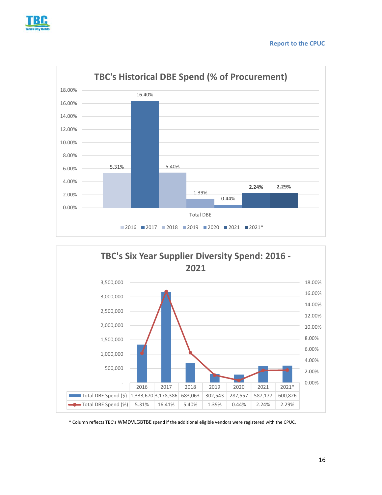





\* Column reflects TBC's WMDVLGBTBE spend if the additional eligible vendors were registered with the CPUC.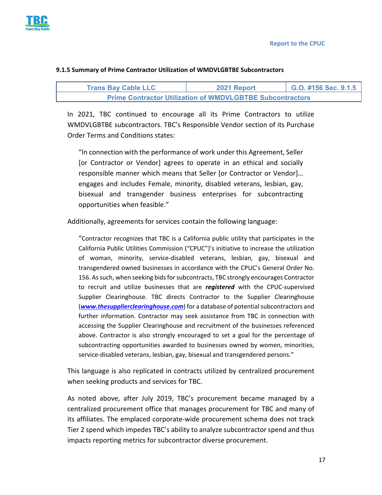

| <b>Trans Bay Cable LLC</b> | 2021 Report | G.O. #156 Sec. 9.1.5 |
|----------------------------|-------------|----------------------|

**Prime Contractor Utilization of WMDVLGBTBE Subcontractors** 

#### **9.1.5 Summary of Prime Contractor Utilization of WMDVLGBTBE Subcontractors**

In 2021, TBC continued to encourage all its Prime Contractors to utilize WMDVLGBTBE subcontractors. TBC's Responsible Vendor section of its Purchase Order Terms and Conditions states:

"In connection with the performance of work under this Agreement, Seller [or Contractor or Vendor] agrees to operate in an ethical and socially responsible manner which means that Seller [or Contractor or Vendor]… engages and includes Female, minority, disabled veterans, lesbian, gay, bisexual and transgender business enterprises for subcontracting opportunities when feasible."

Additionally, agreements for services contain the following language:

"Contractor recognizes that TBC is a California public utility that participates in the California Public Utilities Commission ("CPUC")'s initiative to increase the utilization of woman, minority, service‐disabled veterans, lesbian, gay, bisexual and transgendered owned businesses in accordance with the CPUC's General Order No. 156. As such, when seeking bids for subcontracts, TBC strongly encourages Contractor to recruit and utilize businesses that are *registered* with the CPUC‐supervised Supplier Clearinghouse. TBC directs Contractor to the Supplier Clearinghouse (*www.thesupplierclearinghouse.com*) for a database of potential subcontractors and further information. Contractor may seek assistance from TBC in connection with accessing the Supplier Clearinghouse and recruitment of the businesses referenced above. Contractor is also strongly encouraged to set a goal for the percentage of subcontracting opportunities awarded to businesses owned by women, minorities, service-disabled veterans, lesbian, gay, bisexual and transgendered persons."

This language is also replicated in contracts utilized by centralized procurement when seeking products and services for TBC.

As noted above, after July 2019, TBC's procurement became managed by a centralized procurement office that manages procurement for TBC and many of its affiliates. The emplaced corporate‐wide procurement schema does not track Tier 2 spend which impedes TBC's ability to analyze subcontractor spend and thus impacts reporting metrics for subcontractor diverse procurement.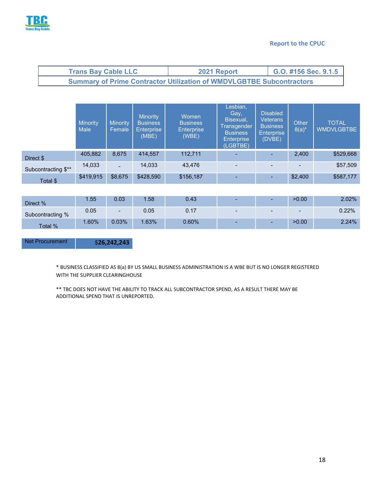

| <b>Trans Bay Cable LLC</b>                                                  | 2021 Report | $\big $ G.O. #156 Sec. 9.1.5 |  |  |  |  |  |
|-----------------------------------------------------------------------------|-------------|------------------------------|--|--|--|--|--|
| <b>Summary of Prime Contractor Utilization of WMDVLGBTBE Subcontractors</b> |             |                              |  |  |  |  |  |

|                     | <b>Minority</b><br><b>Male</b> | <b>Minority</b><br>Female | Minority<br><b>Business</b><br><b>Enterprise</b><br>(MBE) | Women<br><b>Business</b><br><b>Enterprise</b><br>(WBE) | Lesbian,<br>Gay,<br>Bisexual,<br><b>Transgender</b><br><b>Business</b><br><b>Enterprise</b><br>(LGBTBE) | <b>Disabled</b><br><b>Veterans</b><br><b>Business</b><br><b>Enterprise</b><br>(DVBE) | Other<br>$8(a)^*$ | <b>TOTAL</b><br><b>WMDVLGBTBE</b> |
|---------------------|--------------------------------|---------------------------|-----------------------------------------------------------|--------------------------------------------------------|---------------------------------------------------------------------------------------------------------|--------------------------------------------------------------------------------------|-------------------|-----------------------------------|
| Direct \$           | 405,882                        | 8,675                     | 414,557                                                   | 112,711                                                | $\overline{\phantom{a}}$                                                                                | -                                                                                    | 2,400             | \$529,668                         |
| Subcontracting \$** | 14,033                         | $\overline{\phantom{0}}$  | 14,033                                                    | 43.476                                                 | $\overline{\phantom{a}}$                                                                                |                                                                                      |                   | \$57,509                          |
| Total \$            | \$419,915                      | \$8,675                   | \$428,590                                                 | \$156,187                                              | $\overline{\phantom{a}}$                                                                                | $\overline{\phantom{a}}$                                                             | \$2,400           | \$587,177                         |

| Direct %         | .55 <sub>1</sub> | 0.03                     | 1.58  | 0.43     | $\sim$                   | >0.00                    | $2.02\%$ |
|------------------|------------------|--------------------------|-------|----------|--------------------------|--------------------------|----------|
| Subcontracting % | 0.05             | $\overline{\phantom{a}}$ | 0.05  | 0.17     | $\overline{\phantom{0}}$ | $\overline{\phantom{a}}$ | 0.22%    |
| Total %          | .60%             | $0.03\%$                 | 1.63% | $0.60\%$ | $\sim$                   | >0.00                    | 2.24%    |

Net Procurement **\$26,242,243** 

\* BUSINESS CLASSIFIED AS 8(a) BY US SMALL BUSINESS ADMINISTRATION IS A WBE BUT IS NO LONGER REGISTERED WITH THE SUPPLIER CLEARINGHOUSE

\*\* TBC DOES NOT HAVE THE ABILITY TO TRACK ALL SUBCONTRACTOR SPEND, AS A RESULT THERE MAY BE ADDITIONAL SPEND THAT IS UNREPORTED.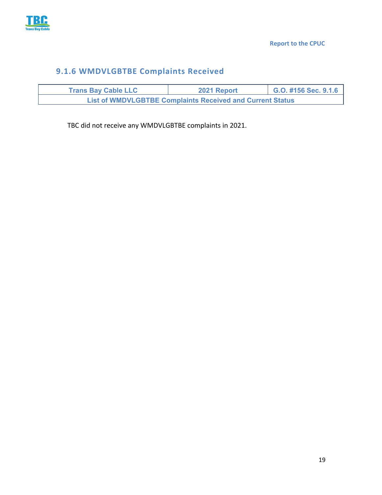

# **9.1.6 WMDVLGBTBE Complaints Received**

| <b>Trans Bay Cable LLC</b>                                       | 2021 Report | G.O. #156 Sec. 9.1.6 |  |  |  |  |  |
|------------------------------------------------------------------|-------------|----------------------|--|--|--|--|--|
| <b>List of WMDVLGBTBE Complaints Received and Current Status</b> |             |                      |  |  |  |  |  |

TBC did not receive any WMDVLGBTBE complaints in 2021.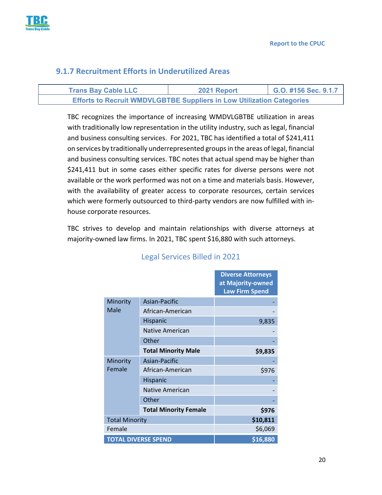

#### **9.1.7 Recruitment Efforts in Underutilized Areas**

| <b>Trans Bay Cable LLC</b>                                                   | 2021 Report | G.O. #156 Sec. 9.1.7 |
|------------------------------------------------------------------------------|-------------|----------------------|
| <b>Efforts to Recruit WMDVLGBTBE Suppliers in Low Utilization Categories</b> |             |                      |

TBC recognizes the importance of increasing WMDVLGBTBE utilization in areas with traditionally low representation in the utility industry, such as legal, financial and business consulting services. For 2021, TBC has identified a total of \$241,411 on services by traditionally underrepresented groups in the areas of legal, financial and business consulting services. TBC notes that actual spend may be higher than \$241,411 but in some cases either specific rates for diverse persons were not available or the work performed was not on a time and materials basis. However, with the availability of greater access to corporate resources, certain services which were formerly outsourced to third-party vendors are now fulfilled with inhouse corporate resources.

TBC strives to develop and maintain relationships with diverse attorneys at majority-owned law firms. In 2021, TBC spent \$16,880 with such attorneys.

|                            |                              | <b>Diverse Attorneys</b><br>at Majority-owned<br><b>Law Firm Spend</b> |
|----------------------------|------------------------------|------------------------------------------------------------------------|
| Minority                   | Asian-Pacific                |                                                                        |
| Male                       | African-American             |                                                                        |
|                            | Hispanic                     | 9,835                                                                  |
|                            | Native American              |                                                                        |
|                            | Other                        |                                                                        |
|                            | <b>Total Minority Male</b>   | \$9,835                                                                |
| Minority                   | Asian-Pacific                |                                                                        |
| Female                     | African-American             | \$976                                                                  |
|                            | Hispanic                     |                                                                        |
|                            | Native American              |                                                                        |
|                            | Other                        |                                                                        |
|                            | <b>Total Minority Female</b> | \$976                                                                  |
| <b>Total Minority</b>      |                              | \$10,811                                                               |
| Female                     |                              | \$6,069                                                                |
| <b>TOTAL DIVERSE SPEND</b> |                              | \$16,880                                                               |

### Legal Services Billed in 2021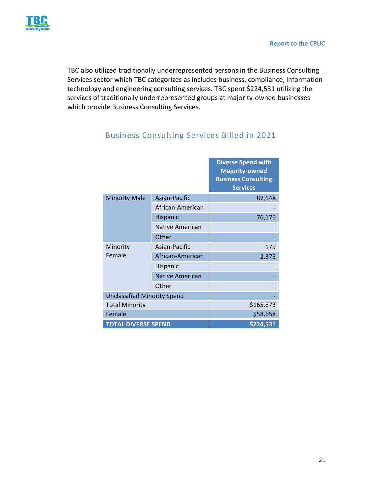

TBC also utilized traditionally underrepresented persons in the Business Consulting Services sector which TBC categorizes as includes business, compliance, information technology and engineering consulting services. TBC spent \$224,531 utilizing the services of traditionally underrepresented groups at majority‐owned businesses which provide Business Consulting Services.

|                                    |                        | <b>Diverse Spend with</b><br><b>Majority-owned</b><br><b>Business Consulting</b><br><b>Services</b> |
|------------------------------------|------------------------|-----------------------------------------------------------------------------------------------------|
| <b>Minority Male</b>               | Asian-Pacific          | 87,148                                                                                              |
|                                    | African-American       |                                                                                                     |
|                                    | Hispanic               | 76,175                                                                                              |
|                                    | Native American        |                                                                                                     |
|                                    | Other                  |                                                                                                     |
| Minority                           | Asian-Pacific          | 175                                                                                                 |
| Female                             | African-American       | 2,375                                                                                               |
|                                    | Hispanic               |                                                                                                     |
|                                    | <b>Native American</b> |                                                                                                     |
|                                    | Other                  |                                                                                                     |
| <b>Unclassified Minority Spend</b> |                        |                                                                                                     |
| <b>Total Minority</b>              |                        | \$165,873                                                                                           |
| Female                             |                        | \$58,658                                                                                            |
| <b>TOTAL DIVERSE SPEND</b>         |                        | \$224,531                                                                                           |

## Business Consulting Services Billed in 2021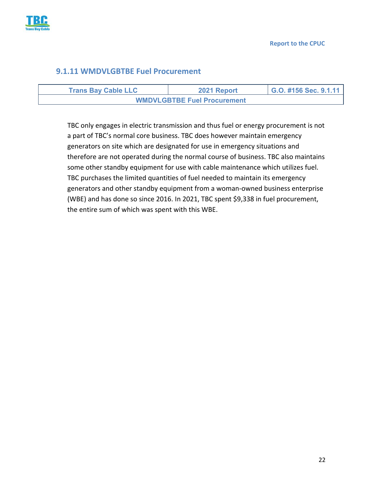

#### **9.1.11 WMDVLGBTBE Fuel Procurement**

| <b>Trans Bay Cable LLC</b>         | 2021 Report | G.O. #156 Sec. 9.1.11 |
|------------------------------------|-------------|-----------------------|
| <b>WMDVLGBTBE Fuel Procurement</b> |             |                       |

TBC only engages in electric transmission and thus fuel or energy procurement is not a part of TBC's normal core business. TBC does however maintain emergency generators on site which are designated for use in emergency situations and therefore are not operated during the normal course of business. TBC also maintains some other standby equipment for use with cable maintenance which utilizes fuel. TBC purchases the limited quantities of fuel needed to maintain its emergency generators and other standby equipment from a woman‐owned business enterprise (WBE) and has done so since 2016. In 2021, TBC spent \$9,338 in fuel procurement, the entire sum of which was spent with this WBE.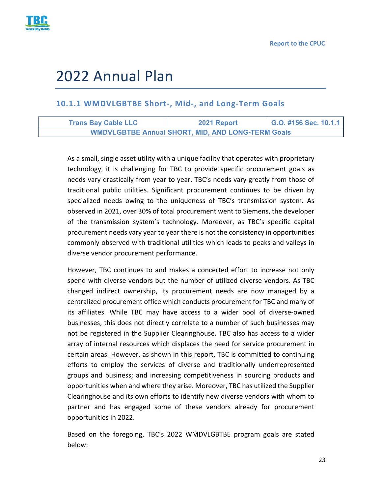

# 2022 Annual Plan

#### **10.1.1 WMDVLGBTBE Short‐, Mid‐, and Long‐Term Goals**

| <b>Trans Bay Cable LLC</b> | 2021 Report                                              | G.O. #156 Sec. 10.1.1 |
|----------------------------|----------------------------------------------------------|-----------------------|
|                            | <b>WMDVLGBTBE Annual SHORT, MID, AND LONG-TERM Goals</b> |                       |

As a small, single asset utility with a unique facility that operates with proprietary technology, it is challenging for TBC to provide specific procurement goals as needs vary drastically from year to year. TBC's needs vary greatly from those of traditional public utilities. Significant procurement continues to be driven by specialized needs owing to the uniqueness of TBC's transmission system. As observed in 2021, over 30% of total procurement went to Siemens, the developer of the transmission system's technology. Moreover, as TBC's specific capital procurement needs vary year to year there is not the consistency in opportunities commonly observed with traditional utilities which leads to peaks and valleys in diverse vendor procurement performance.

However, TBC continues to and makes a concerted effort to increase not only spend with diverse vendors but the number of utilized diverse vendors. As TBC changed indirect ownership, its procurement needs are now managed by a centralized procurement office which conducts procurement for TBC and many of its affiliates. While TBC may have access to a wider pool of diverse‐owned businesses, this does not directly correlate to a number of such businesses may not be registered in the Supplier Clearinghouse. TBC also has access to a wider array of internal resources which displaces the need for service procurement in certain areas. However, as shown in this report, TBC is committed to continuing efforts to employ the services of diverse and traditionally underrepresented groups and business; and increasing competitiveness in sourcing products and opportunities when and where they arise. Moreover, TBC has utilized the Supplier Clearinghouse and its own efforts to identify new diverse vendors with whom to partner and has engaged some of these vendors already for procurement opportunities in 2022.

Based on the foregoing, TBC's 2022 WMDVLGBTBE program goals are stated below: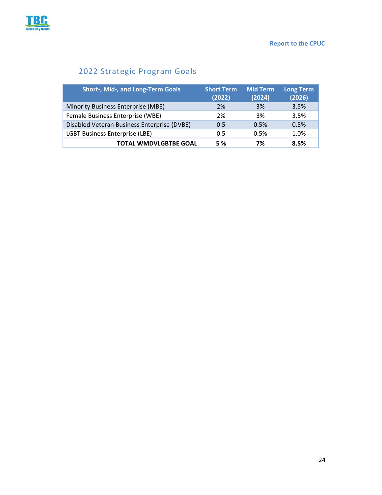

# 2022 Strategic Program Goals

| <b>Short-, Mid-, and Long-Term Goals</b>    | <b>Short Term</b><br>(2022) | <b>Mid Term</b><br>(2024) | Long Term<br>(2026) |
|---------------------------------------------|-----------------------------|---------------------------|---------------------|
| Minority Business Enterprise (MBE)          | 2%                          | 3%                        | 3.5%                |
| Female Business Enterprise (WBE)            | 2%                          | 3%                        | 3.5%                |
| Disabled Veteran Business Enterprise (DVBE) | 0.5                         | 0.5%                      | 0.5%                |
| <b>LGBT Business Enterprise (LBE)</b>       | 0.5                         | 0.5%                      | 1.0%                |
| <b>TOTAL WMDVLGBTBE GOAL</b>                | <b>5 %</b>                  | 7%                        | 8.5%                |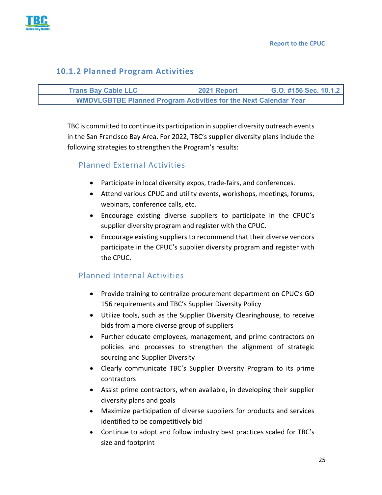

#### **10.1.2 Planned Program Activities**

| <b>Trans Bay Cable LLC</b>                                              | 2021 Report | G.O. #156 Sec. 10.1.2 |
|-------------------------------------------------------------------------|-------------|-----------------------|
| <b>WMDVLGBTBE Planned Program Activities for the Next Calendar Year</b> |             |                       |

TBC is committed to continue its participation in supplier diversity outreach events in the San Francisco Bay Area. For 2022, TBC's supplier diversity plans include the following strategies to strengthen the Program's results:

#### Planned External Activities

- Participate in local diversity expos, trade-fairs, and conferences.
- Attend various CPUC and utility events, workshops, meetings, forums, webinars, conference calls, etc.
- Encourage existing diverse suppliers to participate in the CPUC's supplier diversity program and register with the CPUC.
- Encourage existing suppliers to recommend that their diverse vendors participate in the CPUC's supplier diversity program and register with the CPUC.

#### Planned Internal Activities

- Provide training to centralize procurement department on CPUC's GO 156 requirements and TBC's Supplier Diversity Policy
- Utilize tools, such as the Supplier Diversity Clearinghouse, to receive bids from a more diverse group of suppliers
- Further educate employees, management, and prime contractors on policies and processes to strengthen the alignment of strategic sourcing and Supplier Diversity
- Clearly communicate TBC's Supplier Diversity Program to its prime contractors
- Assist prime contractors, when available, in developing their supplier diversity plans and goals
- Maximize participation of diverse suppliers for products and services identified to be competitively bid
- Continue to adopt and follow industry best practices scaled for TBC's size and footprint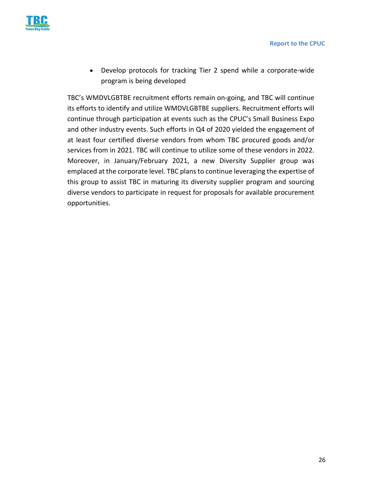

● Develop protocols for tracking Tier 2 spend while a corporate-wide program is being developed

TBC's WMDVLGBTBE recruitment efforts remain on‐going, and TBC will continue its efforts to identify and utilize WMDVLGBTBE suppliers. Recruitment efforts will continue through participation at events such as the CPUC's Small Business Expo and other industry events. Such efforts in Q4 of 2020 yielded the engagement of at least four certified diverse vendors from whom TBC procured goods and/or services from in 2021. TBC will continue to utilize some of these vendors in 2022. Moreover, in January/February 2021, a new Diversity Supplier group was emplaced at the corporate level. TBC plans to continue leveraging the expertise of this group to assist TBC in maturing its diversity supplier program and sourcing diverse vendors to participate in request for proposals for available procurement opportunities.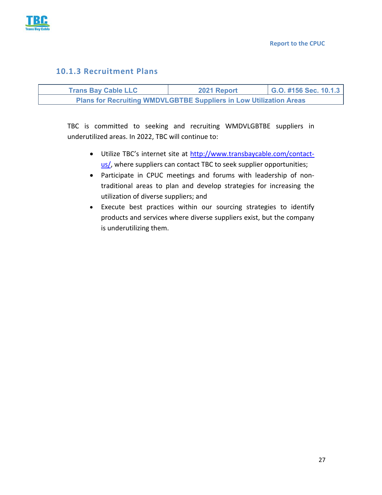

#### **10.1.3 Recruitment Plans**

| <b>Trans Bay Cable LLC</b>                                                | 2021 Report | G.O. #156 Sec. 10.1.3 |
|---------------------------------------------------------------------------|-------------|-----------------------|
| <b>Plans for Recruiting WMDVLGBTBE Suppliers in Low Utilization Areas</b> |             |                       |

TBC is committed to seeking and recruiting WMDVLGBTBE suppliers in underutilized areas. In 2022, TBC will continue to:

- Utilize TBC's internet site at http://www.transbaycable.com/contactus/, where suppliers can contact TBC to seek supplier opportunities;
- Participate in CPUC meetings and forums with leadership of nontraditional areas to plan and develop strategies for increasing the utilization of diverse suppliers; and
- Execute best practices within our sourcing strategies to identify products and services where diverse suppliers exist, but the company is underutilizing them.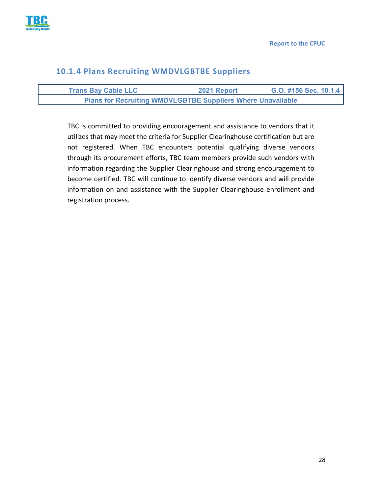

#### **10.1.4 Plans Recruiting WMDVLGBTBE Suppliers**

| <b>Trans Bay Cable LLC</b>                                         | 2021 Report | G.O. #156 Sec. 10.1.4 |
|--------------------------------------------------------------------|-------------|-----------------------|
| <b>Plans for Recruiting WMDVLGBTBE Suppliers Where Unavailable</b> |             |                       |

TBC is committed to providing encouragement and assistance to vendors that it utilizes that may meet the criteria for Supplier Clearinghouse certification but are not registered. When TBC encounters potential qualifying diverse vendors through its procurement efforts, TBC team members provide such vendors with information regarding the Supplier Clearinghouse and strong encouragement to become certified. TBC will continue to identify diverse vendors and will provide information on and assistance with the Supplier Clearinghouse enrollment and registration process.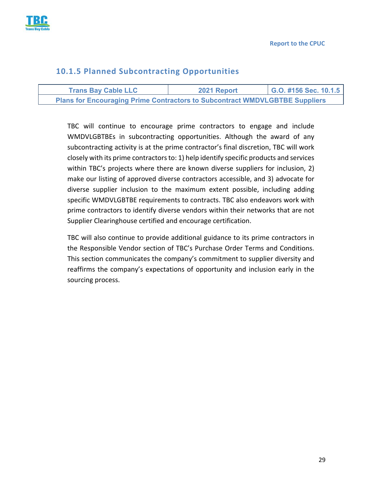

#### **10.1.5 Planned Subcontracting Opportunities**

| <b>Trans Bay Cable LLC</b>                                                         | 2021 Report | G.O. #156 Sec. 10.1.5 |
|------------------------------------------------------------------------------------|-------------|-----------------------|
| <b>Plans for Encouraging Prime Contractors to Subcontract WMDVLGBTBE Suppliers</b> |             |                       |

TBC will continue to encourage prime contractors to engage and include WMDVLGBTBEs in subcontracting opportunities. Although the award of any subcontracting activity is at the prime contractor's final discretion, TBC will work closely with its prime contractors to: 1) help identify specific products and services within TBC's projects where there are known diverse suppliers for inclusion, 2) make our listing of approved diverse contractors accessible, and 3) advocate for diverse supplier inclusion to the maximum extent possible, including adding specific WMDVLGBTBE requirements to contracts. TBC also endeavors work with prime contractors to identify diverse vendors within their networks that are not Supplier Clearinghouse certified and encourage certification.

TBC will also continue to provide additional guidance to its prime contractors in the Responsible Vendor section of TBC's Purchase Order Terms and Conditions. This section communicates the company's commitment to supplier diversity and reaffirms the company's expectations of opportunity and inclusion early in the sourcing process.